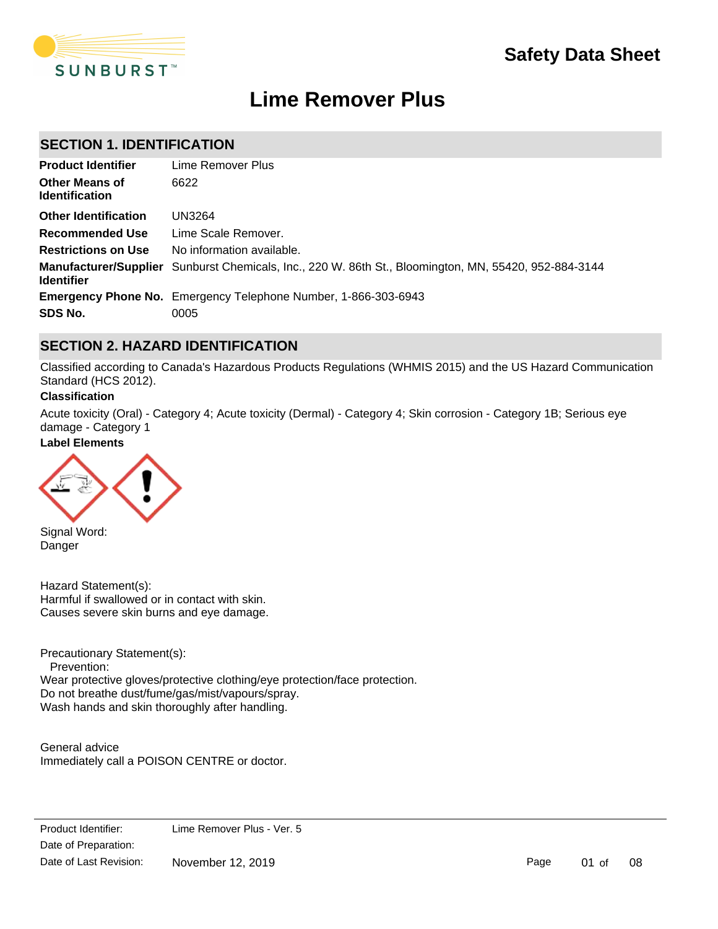

# **Lime Remover Plus**

# **SECTION 1. IDENTIFICATION**

| <b>Product Identifier</b>                      | Lime Remover Plus                                                                                            |
|------------------------------------------------|--------------------------------------------------------------------------------------------------------------|
| <b>Other Means of</b><br><b>Identification</b> | 6622                                                                                                         |
| <b>Other Identification</b>                    | UN3264                                                                                                       |
| <b>Recommended Use</b>                         | Lime Scale Remover.                                                                                          |
| <b>Restrictions on Use</b>                     | No information available.                                                                                    |
| <b>Identifier</b>                              | <b>Manufacturer/Supplier</b> Sunburst Chemicals, Inc., 220 W. 86th St., Bloomington, MN, 55420, 952-884-3144 |
|                                                | <b>Emergency Phone No.</b> Emergency Telephone Number, 1-866-303-6943                                        |
| SDS No.                                        | 0005                                                                                                         |

# **SECTION 2. HAZARD IDENTIFICATION**

Classified according to Canada's Hazardous Products Regulations (WHMIS 2015) and the US Hazard Communication Standard (HCS 2012).

#### **Classification**

Acute toxicity (Oral) - Category 4; Acute toxicity (Dermal) - Category 4; Skin corrosion - Category 1B; Serious eye damage - Category 1

#### **Label Elements**



Signal Word: Danger

Hazard Statement(s): Harmful if swallowed or in contact with skin. Causes severe skin burns and eye damage.

Precautionary Statement(s):

 Prevention: Wear protective gloves/protective clothing/eye protection/face protection. Do not breathe dust/fume/gas/mist/vapours/spray. Wash hands and skin thoroughly after handling.

General advice Immediately call a POISON CENTRE or doctor.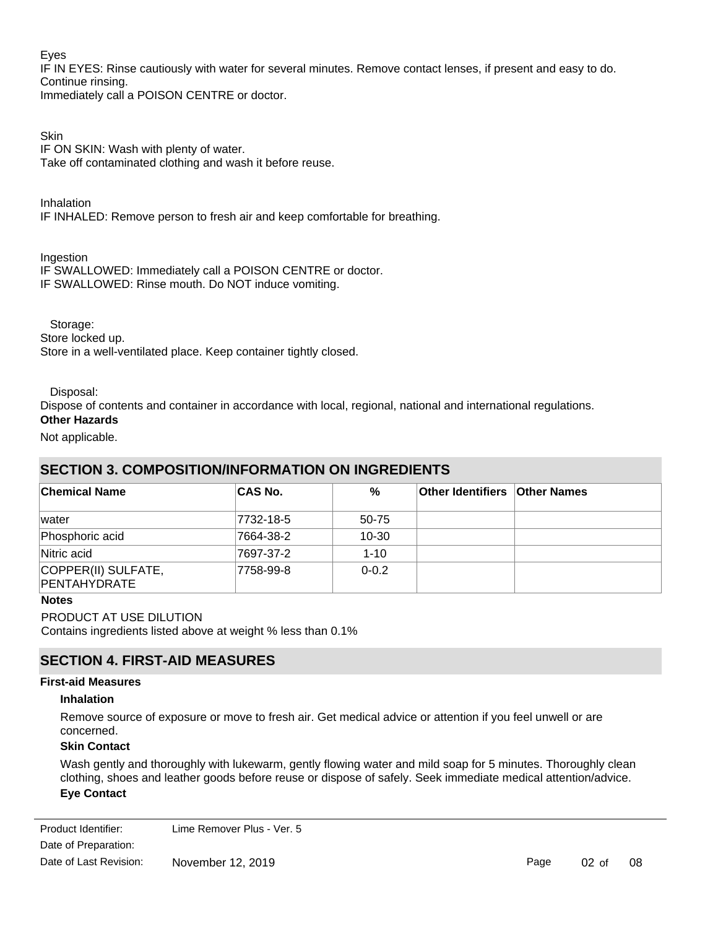#### Eyes

IF IN EYES: Rinse cautiously with water for several minutes. Remove contact lenses, if present and easy to do. Continue rinsing.

Immediately call a POISON CENTRE or doctor.

### Skin

IF ON SKIN: Wash with plenty of water. Take off contaminated clothing and wash it before reuse.

Inhalation IF INHALED: Remove person to fresh air and keep comfortable for breathing.

Ingestion

IF SWALLOWED: Immediately call a POISON CENTRE or doctor. IF SWALLOWED: Rinse mouth. Do NOT induce vomiting.

Storage:

Store locked up.

Store in a well-ventilated place. Keep container tightly closed.

#### Disposal:

Dispose of contents and container in accordance with local, regional, national and international regulations.

**Other Hazards**

#### Not applicable.

# **SECTION 3. COMPOSITION/INFORMATION ON INGREDIENTS**

| <b>Chemical Name</b>                | <b>CAS No.</b> | %         | <b>Other Identifiers Other Names</b> |  |
|-------------------------------------|----------------|-----------|--------------------------------------|--|
| <i>v</i> ater                       | 7732-18-5      | 50-75     |                                      |  |
| Phosphoric acid                     | 7664-38-2      | $10 - 30$ |                                      |  |
| Nitric acid                         | 7697-37-2      | $1 - 10$  |                                      |  |
| COPPER(II) SULFATE,<br>PENTAHYDRATE | 7758-99-8      | $0 - 0.2$ |                                      |  |

#### **Notes**

#### PRODUCT AT USE DILUTION

Contains ingredients listed above at weight % less than 0.1%

# **SECTION 4. FIRST-AID MEASURES**

#### **First-aid Measures**

#### **Inhalation**

Remove source of exposure or move to fresh air. Get medical advice or attention if you feel unwell or are concerned.

#### **Skin Contact**

Wash gently and thoroughly with lukewarm, gently flowing water and mild soap for 5 minutes. Thoroughly clean clothing, shoes and leather goods before reuse or dispose of safely. Seek immediate medical attention/advice.

### **Eye Contact**

executed ventifier:<br>
Lime Remover Plus - Ver. 5 Date of Preparation: Date of Last Revision: November 12, 2019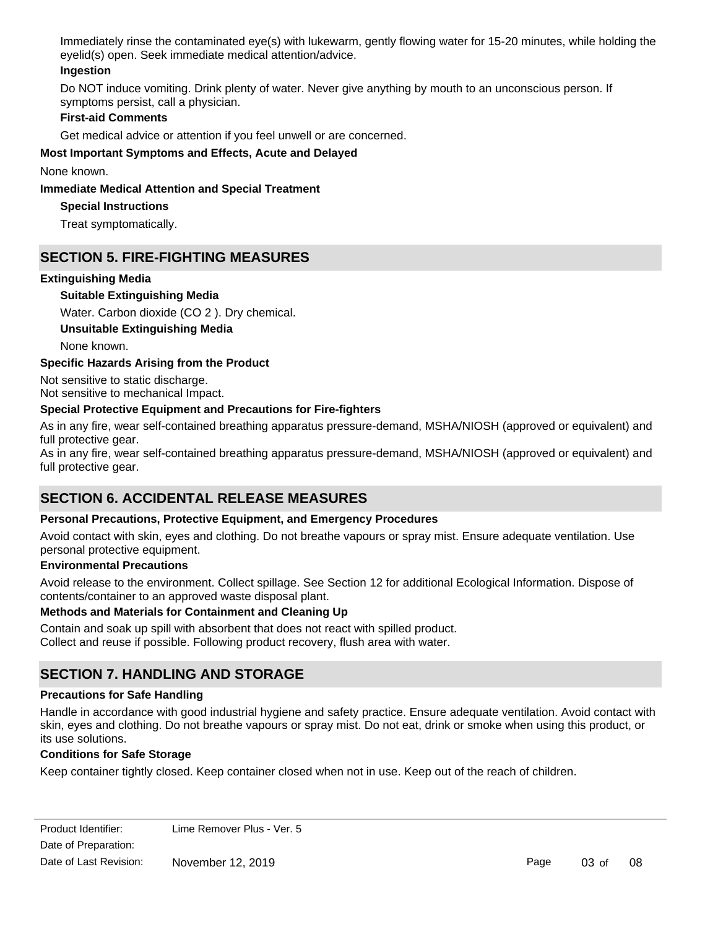Immediately rinse the contaminated eye(s) with lukewarm, gently flowing water for 15-20 minutes, while holding the eyelid(s) open. Seek immediate medical attention/advice.

#### **Ingestion**

Do NOT induce vomiting. Drink plenty of water. Never give anything by mouth to an unconscious person. If symptoms persist, call a physician.

### **First-aid Comments**

Get medical advice or attention if you feel unwell or are concerned.

#### **Most Important Symptoms and Effects, Acute and Delayed**

None known.

#### **Immediate Medical Attention and Special Treatment**

#### **Special Instructions**

Treat symptomatically.

# **SECTION 5. FIRE-FIGHTING MEASURES**

#### **Extinguishing Media**

#### **Suitable Extinguishing Media**

Water. Carbon dioxide (CO 2 ). Dry chemical.

#### **Unsuitable Extinguishing Media**

None known.

#### **Specific Hazards Arising from the Product**

Not sensitive to static discharge.

Not sensitive to mechanical Impact.

#### **Special Protective Equipment and Precautions for Fire-fighters**

As in any fire, wear self-contained breathing apparatus pressure-demand, MSHA/NIOSH (approved or equivalent) and full protective gear.

As in any fire, wear self-contained breathing apparatus pressure-demand, MSHA/NIOSH (approved or equivalent) and full protective gear.

# **SECTION 6. ACCIDENTAL RELEASE MEASURES**

#### **Personal Precautions, Protective Equipment, and Emergency Procedures**

Avoid contact with skin, eyes and clothing. Do not breathe vapours or spray mist. Ensure adequate ventilation. Use personal protective equipment.

#### **Environmental Precautions**

Avoid release to the environment. Collect spillage. See Section 12 for additional Ecological Information. Dispose of contents/container to an approved waste disposal plant.

#### **Methods and Materials for Containment and Cleaning Up**

Contain and soak up spill with absorbent that does not react with spilled product. Collect and reuse if possible. Following product recovery, flush area with water.

# **SECTION 7. HANDLING AND STORAGE**

#### **Precautions for Safe Handling**

Handle in accordance with good industrial hygiene and safety practice. Ensure adequate ventilation. Avoid contact with skin, eyes and clothing. Do not breathe vapours or spray mist. Do not eat, drink or smoke when using this product, or its use solutions.

#### **Conditions for Safe Storage**

Keep container tightly closed. Keep container closed when not in use. Keep out of the reach of children.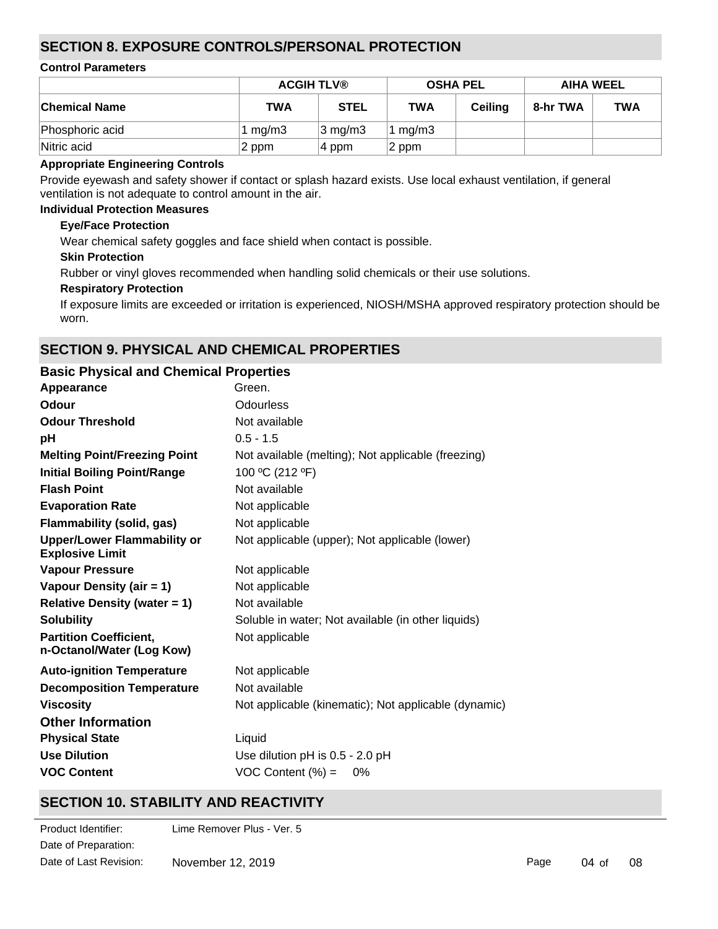# **SECTION 8. EXPOSURE CONTROLS/PERSONAL PROTECTION**

#### **Control Parameters**

|                      | <b>ACGIH TLV®</b> |                   | <b>OSHA PEL</b> |                | <b>AIHA WEEL</b> |            |
|----------------------|-------------------|-------------------|-----------------|----------------|------------------|------------|
| <b>Chemical Name</b> | <b>TWA</b>        | <b>STEL</b>       | <b>TWA</b>      | <b>Ceiling</b> | 8-hr TWA         | <b>TWA</b> |
| Phosphoric acid      | mg/m3             | $ 3 \text{ mg/m}$ | mg/m3           |                |                  |            |
| Nitric acid          | 2 ppm             | 4 ppm             | 2 ppm           |                |                  |            |

#### **Appropriate Engineering Controls**

Provide eyewash and safety shower if contact or splash hazard exists. Use local exhaust ventilation, if general ventilation is not adequate to control amount in the air.

#### **Individual Protection Measures**

### **Eye/Face Protection**

Wear chemical safety goggles and face shield when contact is possible.

#### **Skin Protection**

Rubber or vinyl gloves recommended when handling solid chemicals or their use solutions.

#### **Respiratory Protection**

If exposure limits are exceeded or irritation is experienced, NIOSH/MSHA approved respiratory protection should be worn.

# **SECTION 9. PHYSICAL AND CHEMICAL PROPERTIES**

#### **Basic Physical and Chemical Properties**

| Appearance                                                   | Green.                                               |
|--------------------------------------------------------------|------------------------------------------------------|
| Odour                                                        | Odourless                                            |
| <b>Odour Threshold</b>                                       | Not available                                        |
| рH                                                           | $0.5 - 1.5$                                          |
| <b>Melting Point/Freezing Point</b>                          | Not available (melting); Not applicable (freezing)   |
| <b>Initial Boiling Point/Range</b>                           | 100 °C (212 °F)                                      |
| <b>Flash Point</b>                                           | Not available                                        |
| <b>Evaporation Rate</b>                                      | Not applicable                                       |
| <b>Flammability (solid, gas)</b>                             | Not applicable                                       |
| <b>Upper/Lower Flammability or</b><br><b>Explosive Limit</b> | Not applicable (upper); Not applicable (lower)       |
| <b>Vapour Pressure</b>                                       | Not applicable                                       |
| Vapour Density (air = 1)                                     | Not applicable                                       |
| Relative Density (water $= 1$ )                              | Not available                                        |
| <b>Solubility</b>                                            | Soluble in water; Not available (in other liquids)   |
| <b>Partition Coefficient,</b><br>n-Octanol/Water (Log Kow)   | Not applicable                                       |
| <b>Auto-ignition Temperature</b>                             | Not applicable                                       |
| <b>Decomposition Temperature</b>                             | Not available                                        |
| <b>Viscosity</b>                                             | Not applicable (kinematic); Not applicable (dynamic) |
| <b>Other Information</b>                                     |                                                      |
| <b>Physical State</b>                                        | Liquid                                               |
| <b>Use Dilution</b>                                          | Use dilution pH is 0.5 - 2.0 pH                      |
| <b>VOC Content</b>                                           | VOC Content $(\%) = 0\%$                             |
|                                                              |                                                      |

# **SECTION 10. STABILITY AND REACTIVITY**

**Product Identifier:** Date of Preparation: Lime Remover Plus - Ver. 5 Date of Last Revision: November 12, 2019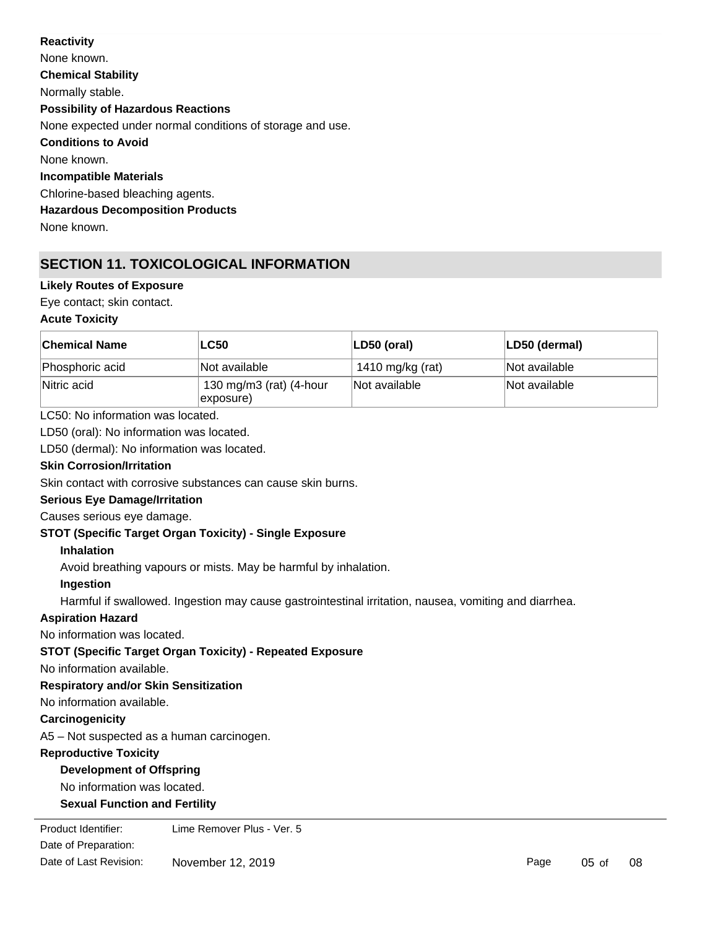#### **Reactivity**

**Chemical Stability** Normally stable. **Conditions to Avoid** None known. **Incompatible Materials** Chlorine-based bleaching agents. **Hazardous Decomposition Products** None known. **Possibility of Hazardous Reactions** None expected under normal conditions of storage and use. None known.

# **SECTION 11. TOXICOLOGICAL INFORMATION**

#### **Likely Routes of Exposure**

Eye contact; skin contact.

#### **Acute Toxicity**

| <b>Chemical Name</b> | <b>LC50</b>                                             | LD50 (oral)      | LD50 (dermal)  |
|----------------------|---------------------------------------------------------|------------------|----------------|
| Phosphoric acid      | Not available                                           | 1410 mg/kg (rat) | Not available  |
| Nitric acid          | 130 mg/m3 (rat) $(4 \text{-} \text{hour})$<br>exposure) | Not available    | INot available |

#### LC50: No information was located.

LD50 (oral): No information was located.

LD50 (dermal): No information was located.

#### **Skin Corrosion/Irritation**

Skin contact with corrosive substances can cause skin burns.

**Serious Eye Damage/Irritation**

Causes serious eye damage.

#### **STOT (Specific Target Organ Toxicity) - Single Exposure**

#### **Inhalation**

Avoid breathing vapours or mists. May be harmful by inhalation.

#### **Ingestion**

Harmful if swallowed. Ingestion may cause gastrointestinal irritation, nausea, vomiting and diarrhea.

#### **Aspiration Hazard**

No information was located.

# **STOT (Specific Target Organ Toxicity) - Repeated Exposure**

No information available.

### **Respiratory and/or Skin Sensitization**

No information available.

### **Carcinogenicity**

A5 – Not suspected as a human carcinogen.

### **Reproductive Toxicity**

# **Development of Offspring**

No information was located.

# **Sexual Function and Fertility**

Product Identifier: Date of Preparation: Lime Remover Plus - Ver. 5 Date of Last Revision: November 12, 2019

Page 05 of 08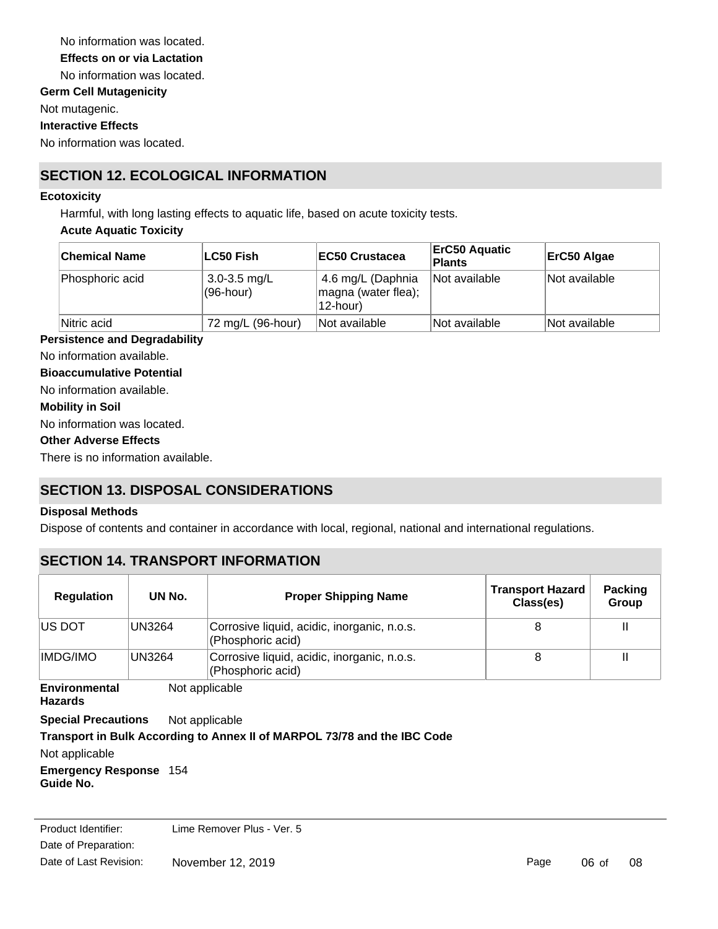No information was located. **Germ Cell Mutagenicity** Not mutagenic. **Effects on or via Lactation** No information was located.

**Interactive Effects**

No information was located.

# **SECTION 12. ECOLOGICAL INFORMATION**

#### **Ecotoxicity**

Harmful, with long lasting effects to aquatic life, based on acute toxicity tests.

#### **Acute Aquatic Toxicity**

| <b>Chemical Name</b> | <b>LC50 Fish</b>                 | <b>IEC50 Crustacea</b>                               | <b>ErC50 Aquatic</b><br><b>Plants</b> | ErC50 Algae   |
|----------------------|----------------------------------|------------------------------------------------------|---------------------------------------|---------------|
| Phosphoric acid      | $3.0 - 3.5$ mg/L<br>$(96$ -hour) | 4.6 mg/L (Daphnia<br>magna (water flea);<br>12-hour) | Not available                         | Not available |
| Nitric acid          | 72 mg/L (96-hour)                | Not available                                        | Not available                         | Not available |

#### **Persistence and Degradability**

No information available.

#### **Bioaccumulative Potential**

No information available.

#### **Mobility in Soil**

No information was located.

#### **Other Adverse Effects**

There is no information available.

# **SECTION 13. DISPOSAL CONSIDERATIONS**

#### **Disposal Methods**

Dispose of contents and container in accordance with local, regional, national and international regulations.

# **SECTION 14. TRANSPORT INFORMATION**

| <b>Regulation</b>                                                        | UN No. | <b>Proper Shipping Name</b>                                      | <b>Transport Hazard</b><br>Class(es) | <b>Packing</b><br>Group |  |  |
|--------------------------------------------------------------------------|--------|------------------------------------------------------------------|--------------------------------------|-------------------------|--|--|
| IUS DOT                                                                  | UN3264 | Corrosive liquid, acidic, inorganic, n.o.s.<br>(Phosphoric acid) | 8                                    | $\mathbf{I}$            |  |  |
| IMDG/IMO                                                                 | UN3264 | Corrosive liquid, acidic, inorganic, n.o.s.<br>(Phosphoric acid) | 8                                    | $\mathbf{I}$            |  |  |
| Environmental<br>Not applicable<br><b>Hazards</b>                        |        |                                                                  |                                      |                         |  |  |
| <b>Special Precautions</b><br>Not applicable                             |        |                                                                  |                                      |                         |  |  |
| Transport in Bulk According to Annex II of MARPOL 73/78 and the IBC Code |        |                                                                  |                                      |                         |  |  |
| Not applicable                                                           |        |                                                                  |                                      |                         |  |  |
| <b>Emergency Response 154</b><br>Guide No.                               |        |                                                                  |                                      |                         |  |  |

Date of Preparation: Product Identifier: Lime Remover Plus - Ver. 5 Date of Last Revision: November 12, 2019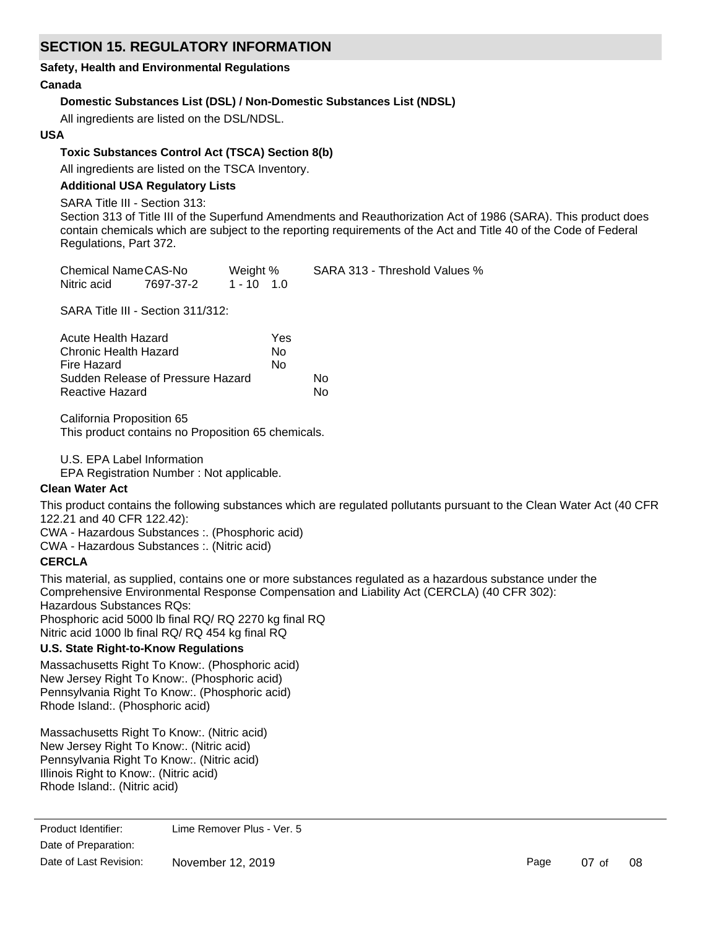# **SECTION 15. REGULATORY INFORMATION**

#### **Safety, Health and Environmental Regulations**

#### **Canada**

#### **Domestic Substances List (DSL) / Non-Domestic Substances List (NDSL)**

All ingredients are listed on the DSL/NDSL.

#### **USA**

#### **Toxic Substances Control Act (TSCA) Section 8(b)**

All ingredients are listed on the TSCA Inventory.

#### **Additional USA Regulatory Lists**

SARA Title III - Section 313:

Section 313 of Title III of the Superfund Amendments and Reauthorization Act of 1986 (SARA). This product does contain chemicals which are subject to the reporting requirements of the Act and Title 40 of the Code of Federal Regulations, Part 372.

| Chemical NameCAS-No |           | Weight % | SARA 313 - Threshold Values % |
|---------------------|-----------|----------|-------------------------------|
| Nitric acid         | 7697-37-2 | 1-10 10  |                               |

SARA Title III - Section 311/312:

| Acute Health Hazard               | Yes |    |
|-----------------------------------|-----|----|
| Chronic Health Hazard             | N٥  |    |
| Fire Hazard                       | No  |    |
| Sudden Release of Pressure Hazard |     | N٥ |
| Reactive Hazard                   |     | N٥ |

California Proposition 65

This product contains no Proposition 65 chemicals.

U.S. EPA Label Information

EPA Registration Number : Not applicable.

#### **Clean Water Act**

This product contains the following substances which are regulated pollutants pursuant to the Clean Water Act (40 CFR 122.21 and 40 CFR 122.42):

CWA - Hazardous Substances :. (Phosphoric acid) CWA - Hazardous Substances :. (Nitric acid)

### **CERCLA**

This material, as supplied, contains one or more substances regulated as a hazardous substance under the Comprehensive Environmental Response Compensation and Liability Act (CERCLA) (40 CFR 302): Hazardous Substances RQs: Phosphoric acid 5000 lb final RQ/ RQ 2270 kg final RQ Nitric acid 1000 lb final RQ/ RQ 454 kg final RQ

#### **U.S. State Right-to-Know Regulations**

Massachusetts Right To Know:. (Phosphoric acid) New Jersey Right To Know:. (Phosphoric acid) Pennsylvania Right To Know:. (Phosphoric acid) Rhode Island:. (Phosphoric acid)

Massachusetts Right To Know:. (Nitric acid) New Jersey Right To Know:. (Nitric acid) Pennsylvania Right To Know:. (Nitric acid) Illinois Right to Know:. (Nitric acid) Rhode Island:. (Nitric acid)

Date of Preparation: Product Identifier: Lime Remover Plus - Ver. 5 Date of Last Revision: November 12, 2019